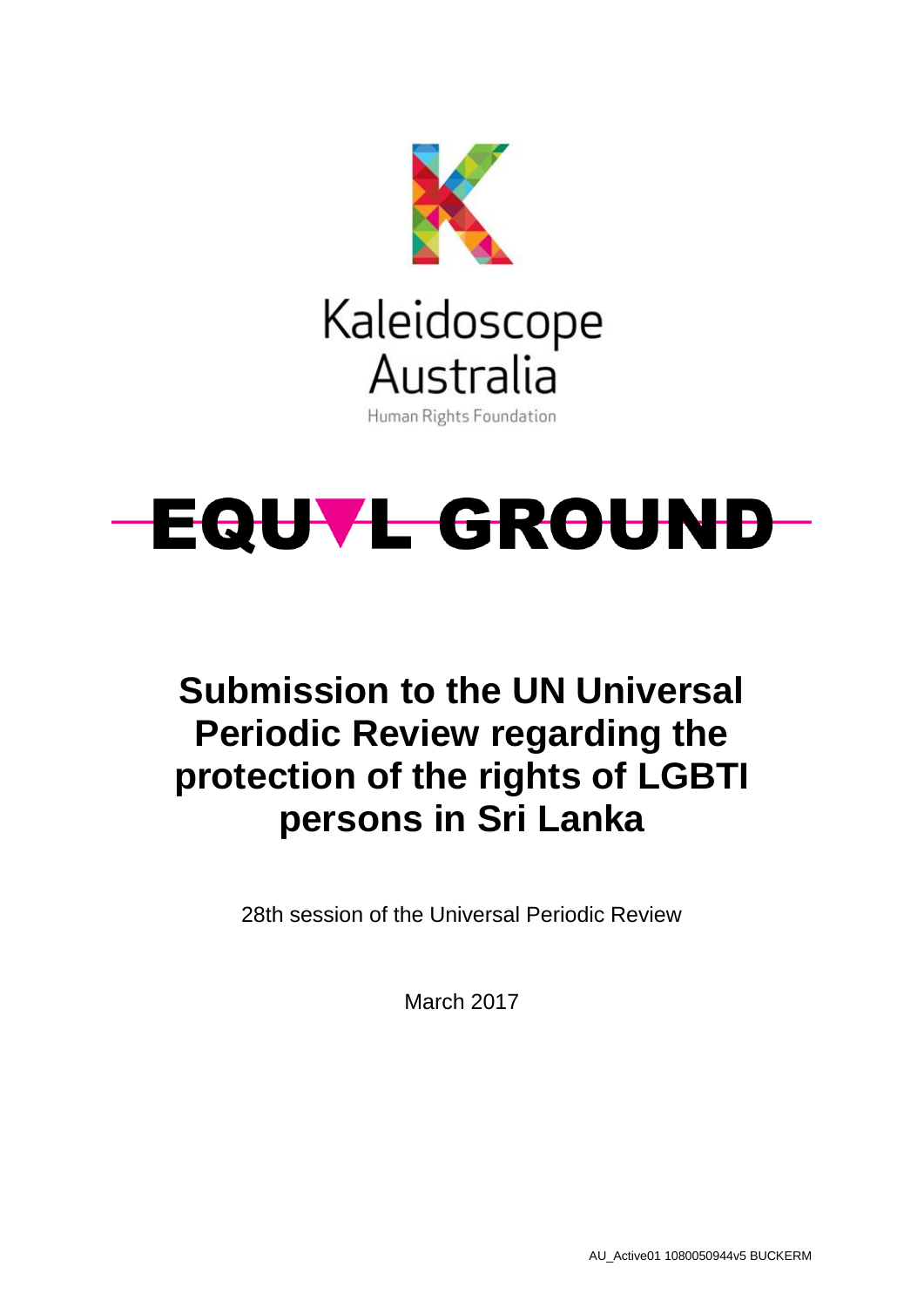



# **Submission to the UN Universal Periodic Review regarding the protection of the rights of LGBTI persons in Sri Lanka**

28th session of the Universal Periodic Review

March 2017

AU\_Active01 1080050944v5 BUCKERM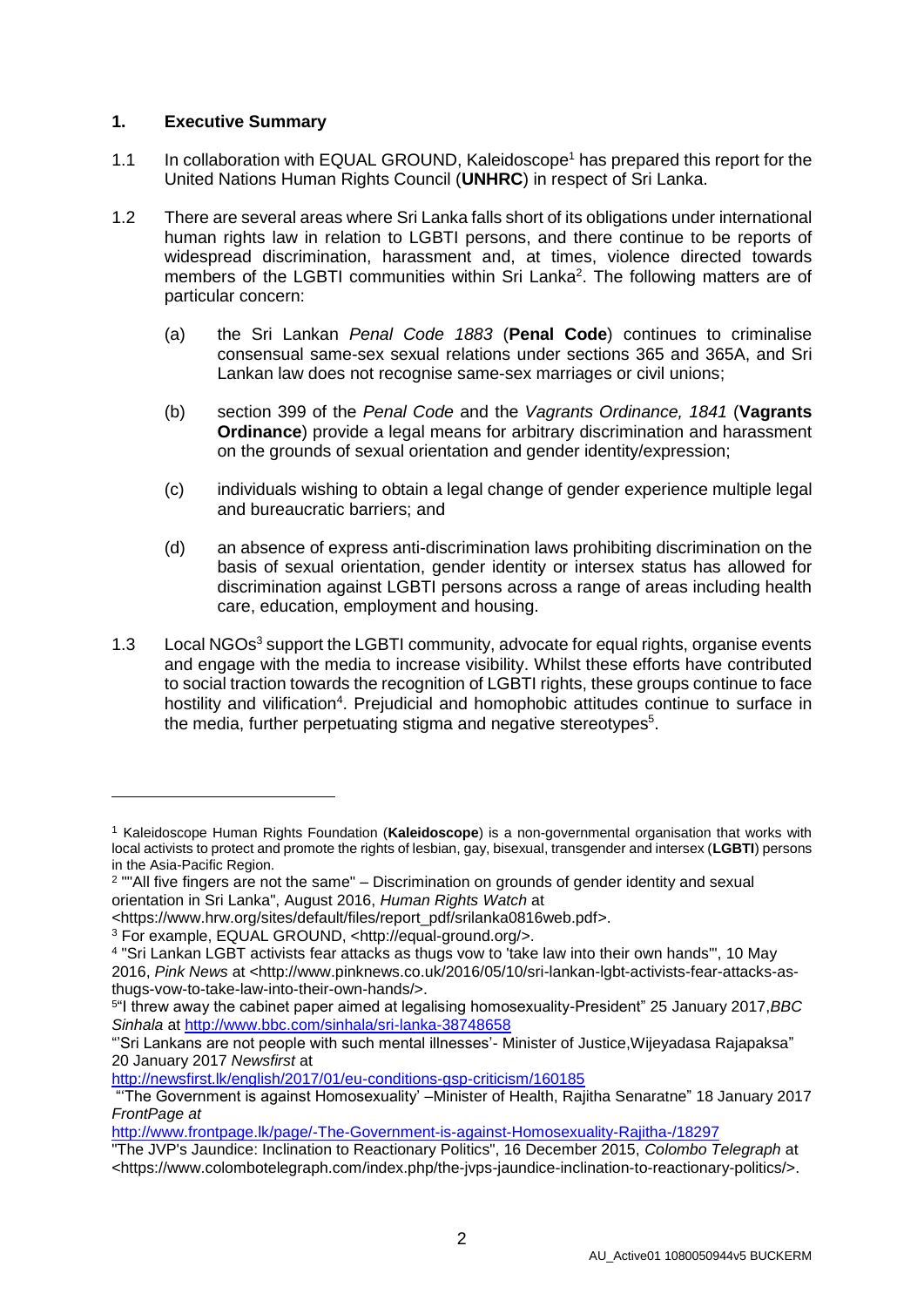# **1. Executive Summary**

- 1.1 In collaboration with EQUAL GROUND, Kaleidoscope<sup>1</sup> has prepared this report for the United Nations Human Rights Council (**UNHRC**) in respect of Sri Lanka.
- 1.2 There are several areas where Sri Lanka falls short of its obligations under international human rights law in relation to LGBTI persons, and there continue to be reports of widespread discrimination, harassment and, at times, violence directed towards members of the LGBTI communities within Sri Lanka<sup>2</sup>. The following matters are of particular concern:
	- (a) the Sri Lankan *Penal Code 1883* (**Penal Code**) continues to criminalise consensual same-sex sexual relations under sections 365 and 365A, and Sri Lankan law does not recognise same-sex marriages or civil unions;
	- (b) section 399 of the *Penal Code* and the *Vagrants Ordinance, 1841* (**Vagrants Ordinance**) provide a legal means for arbitrary discrimination and harassment on the grounds of sexual orientation and gender identity/expression;
	- (c) individuals wishing to obtain a legal change of gender experience multiple legal and bureaucratic barriers; and
	- (d) an absence of express anti-discrimination laws prohibiting discrimination on the basis of sexual orientation, gender identity or intersex status has allowed for discrimination against LGBTI persons across a range of areas including health care, education, employment and housing.
- 1.3 Local NGOs<sup>3</sup> support the LGBTI community, advocate for equal rights, organise events and engage with the media to increase visibility. Whilst these efforts have contributed to social traction towards the recognition of LGBTI rights, these groups continue to face hostility and vilification<sup>4</sup>. Prejudicial and homophobic attitudes continue to surface in the media, further perpetuating stigma and negative stereotypes<sup>5</sup>.

<sup>1</sup> Kaleidoscope Human Rights Foundation (**Kaleidoscope**) is a non-governmental organisation that works with local activists to protect and promote the rights of lesbian, gay, bisexual, transgender and intersex (**LGBTI**) persons in the Asia-Pacific Region.

<sup>2</sup> ""All five fingers are not the same" – Discrimination on grounds of gender identity and sexual orientation in Sri Lanka", August 2016, *Human Rights Watch* at

<sup>&</sup>lt;https://www.hrw.org/sites/default/files/report\_pdf/srilanka0816web.pdf>.

<sup>3</sup> For example, EQUAL GROUND, <http://equal-ground.org/>.

<sup>4</sup> "Sri Lankan LGBT activists fear attacks as thugs vow to 'take law into their own hands'", 10 May 2016, *Pink News* at <http://www.pinknews.co.uk/2016/05/10/sri-lankan-lgbt-activists-fear-attacks-asthugs-vow-to-take-law-into-their-own-hands/>.

<sup>5</sup> "I threw away the cabinet paper aimed at legalising homosexuality-President" 25 January 2017,*BBC Sinhala* at [http://www.bbc.com/sinhala/sri-lanka-38748658](http://www.bbc.com/sinhala/sri-lanka-38748658%2025%20January%202017) 

<sup>&</sup>quot;'Sri Lankans are not people with such mental illnesses'- Minister of Justice,Wijeyadasa Rajapaksa" 20 January 2017 *Newsfirst* at

<http://newsfirst.lk/english/2017/01/eu-conditions-gsp-criticism/160185>

<sup>&</sup>quot;'The Government is against Homosexuality' –Minister of Health, Rajitha Senaratne" 18 January 2017 *FrontPage at*

<http://www.frontpage.lk/page/-The-Government-is-against-Homosexuality-Rajitha-/18297>

<sup>&</sup>quot;The JVP's Jaundice: Inclination to Reactionary Politics", 16 December 2015, *Colombo Telegraph* at <https://www.colombotelegraph.com/index.php/the-jvps-jaundice-inclination-to-reactionary-politics/>.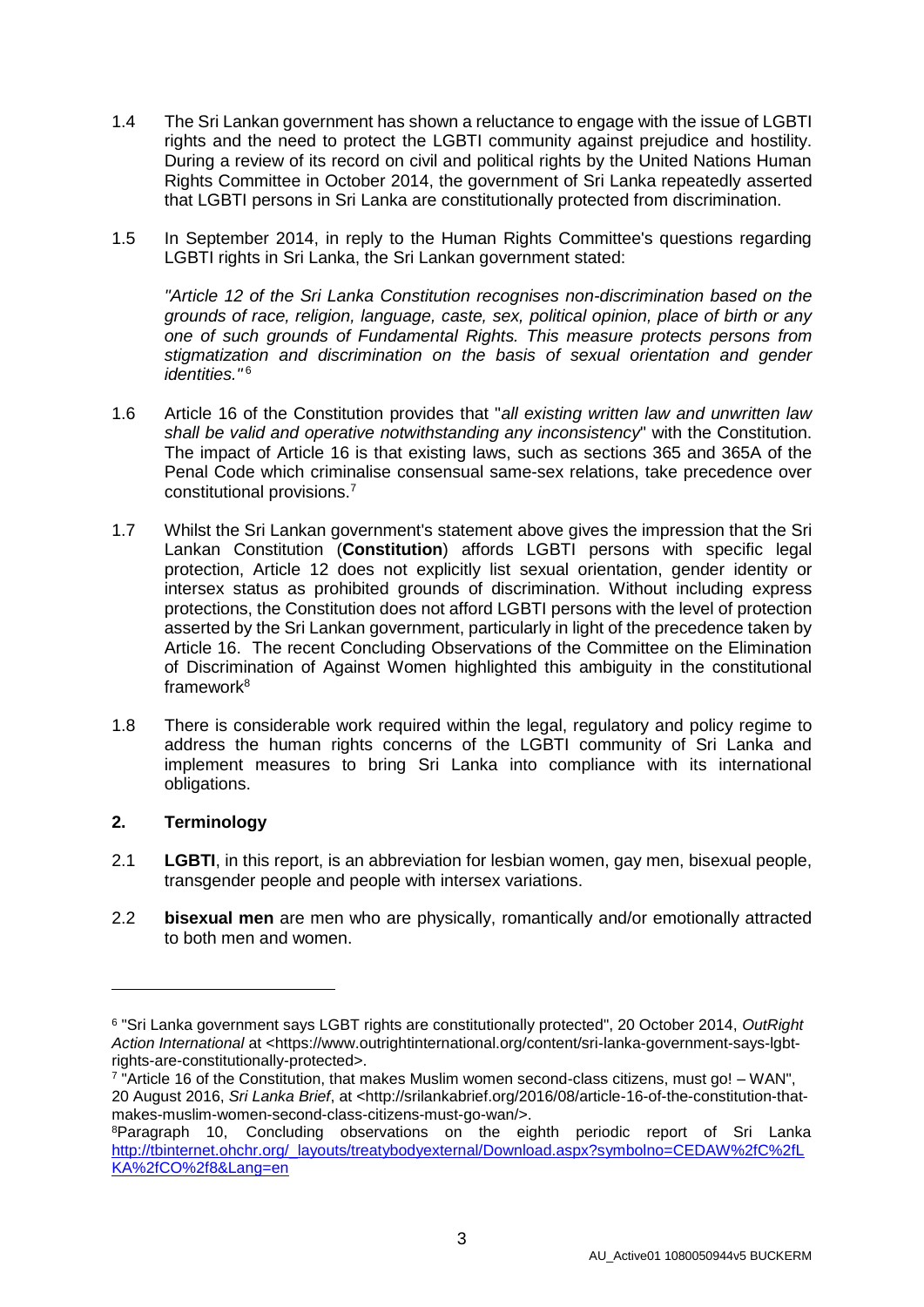- 1.4 The Sri Lankan government has shown a reluctance to engage with the issue of LGBTI rights and the need to protect the LGBTI community against prejudice and hostility. During a review of its record on civil and political rights by the United Nations Human Rights Committee in October 2014, the government of Sri Lanka repeatedly asserted that LGBTI persons in Sri Lanka are constitutionally protected from discrimination.
- 1.5 In September 2014, in reply to the Human Rights Committee's questions regarding LGBTI rights in Sri Lanka, the Sri Lankan government stated:

*"Article 12 of the Sri Lanka Constitution recognises non-discrimination based on the grounds of race, religion, language, caste, sex, political opinion, place of birth or any one of such grounds of Fundamental Rights. This measure protects persons from stigmatization and discrimination on the basis of sexual orientation and gender identities."* <sup>6</sup>

- 1.6 Article 16 of the Constitution provides that "*all existing written law and unwritten law shall be valid and operative notwithstanding any inconsistency*" with the Constitution. The impact of Article 16 is that existing laws, such as sections 365 and 365A of the Penal Code which criminalise consensual same-sex relations, take precedence over constitutional provisions.<sup>7</sup>
- 1.7 Whilst the Sri Lankan government's statement above gives the impression that the Sri Lankan Constitution (**Constitution**) affords LGBTI persons with specific legal protection, Article 12 does not explicitly list sexual orientation, gender identity or intersex status as prohibited grounds of discrimination. Without including express protections, the Constitution does not afford LGBTI persons with the level of protection asserted by the Sri Lankan government, particularly in light of the precedence taken by Article 16. The recent Concluding Observations of the Committee on the Elimination of Discrimination of Against Women highlighted this ambiguity in the constitutional framework $8$
- 1.8 There is considerable work required within the legal, regulatory and policy regime to address the human rights concerns of the LGBTI community of Sri Lanka and implement measures to bring Sri Lanka into compliance with its international obligations.

## **2. Terminology**

- 2.1 **LGBTI**, in this report, is an abbreviation for lesbian women, gay men, bisexual people, transgender people and people with intersex variations.
- 2.2 **bisexual men** are men who are physically, romantically and/or emotionally attracted to both men and women.

<sup>6</sup> "Sri Lanka government says LGBT rights are constitutionally protected", 20 October 2014, *OutRight Action International* at <https://www.outrightinternational.org/content/sri-lanka-government-says-lgbtrights-are-constitutionally-protected>.

<sup>7</sup> "Article 16 of the Constitution, that makes Muslim women second-class citizens, must go! – WAN", 20 August 2016, *Sri Lanka Brief*, at <http://srilankabrief.org/2016/08/article-16-of-the-constitution-thatmakes-muslim-women-second-class-citizens-must-go-wan/>.

<sup>8</sup>Paragraph 10, Concluding observations on the eighth periodic report of Sri Lanka [http://tbinternet.ohchr.org/\\_layouts/treatybodyexternal/Download.aspx?symbolno=CEDAW%2fC%2fL](http://tbinternet.ohchr.org/_layouts/treatybodyexternal/Download.aspx?symbolno=CEDAW%2fC%2fLKA%2fCO%2f8&Lang=en) [KA%2fCO%2f8&Lang=en](http://tbinternet.ohchr.org/_layouts/treatybodyexternal/Download.aspx?symbolno=CEDAW%2fC%2fLKA%2fCO%2f8&Lang=en)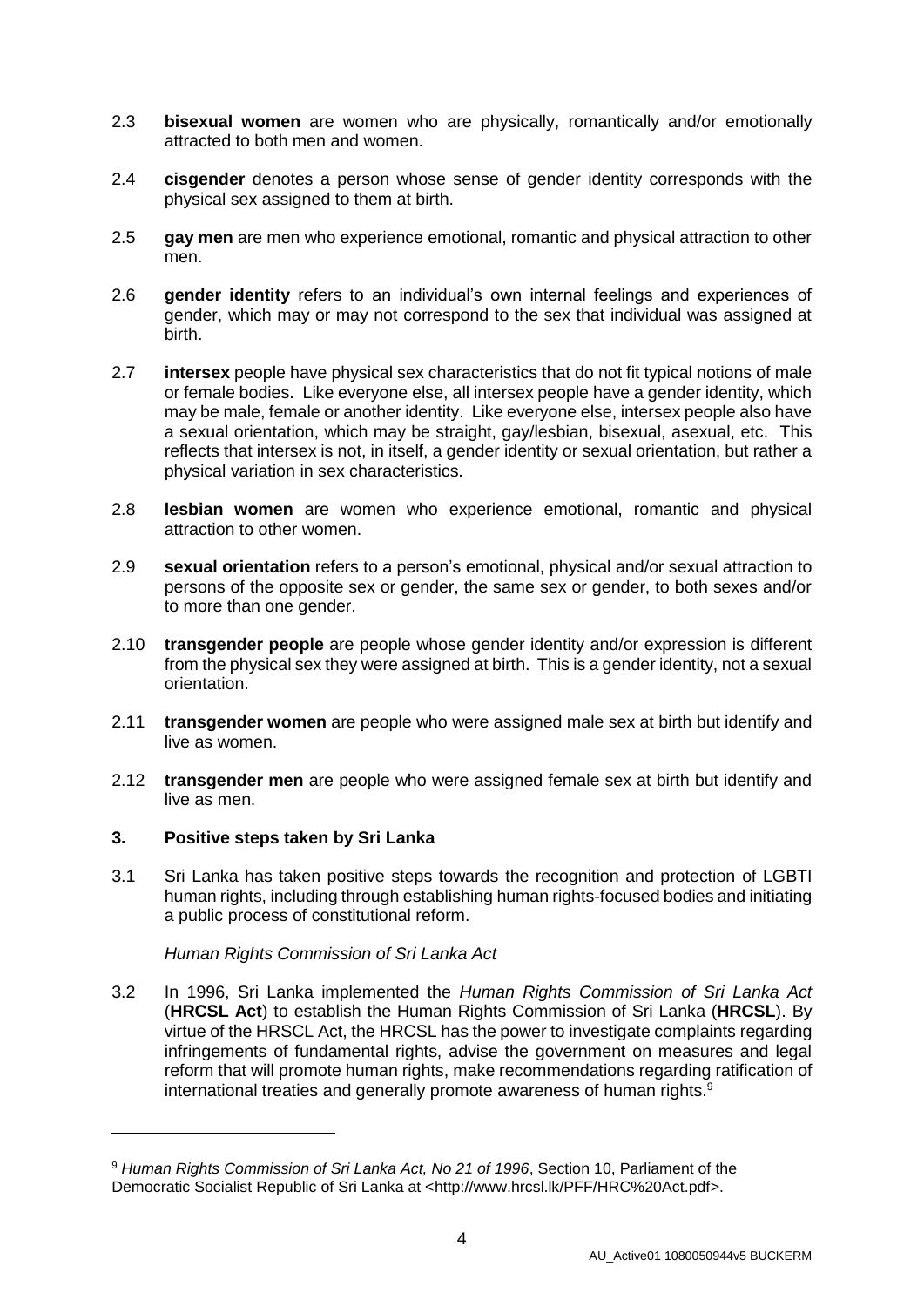- 2.3 **bisexual women** are women who are physically, romantically and/or emotionally attracted to both men and women.
- 2.4 **cisgender** denotes a person whose sense of gender identity corresponds with the physical sex assigned to them at birth.
- 2.5 **gay men** are men who experience emotional, romantic and physical attraction to other men.
- 2.6 **gender identity** refers to an individual's own internal feelings and experiences of gender, which may or may not correspond to the sex that individual was assigned at birth.
- 2.7 **intersex** people have physical sex characteristics that do not fit typical notions of male or female bodies. Like everyone else, all intersex people have a gender identity, which may be male, female or another identity. Like everyone else, intersex people also have a sexual orientation, which may be straight, gay/lesbian, bisexual, asexual, etc. This reflects that intersex is not, in itself, a gender identity or sexual orientation, but rather a physical variation in sex characteristics.
- 2.8 **lesbian women** are women who experience emotional, romantic and physical attraction to other women.
- 2.9 **sexual orientation** refers to a person's emotional, physical and/or sexual attraction to persons of the opposite sex or gender, the same sex or gender, to both sexes and/or to more than one gender.
- 2.10 **transgender people** are people whose gender identity and/or expression is different from the physical sex they were assigned at birth. This is a gender identity, not a sexual orientation.
- 2.11 **transgender women** are people who were assigned male sex at birth but identify and live as women.
- 2.12 **transgender men** are people who were assigned female sex at birth but identify and live as men.

## **3. Positive steps taken by Sri Lanka**

-

3.1 Sri Lanka has taken positive steps towards the recognition and protection of LGBTI human rights, including through establishing human rights-focused bodies and initiating a public process of constitutional reform.

*Human Rights Commission of Sri Lanka Act*

3.2 In 1996, Sri Lanka implemented the *Human Rights Commission of Sri Lanka Act*  (**HRCSL Act**) to establish the Human Rights Commission of Sri Lanka (**HRCSL**). By virtue of the HRSCL Act, the HRCSL has the power to investigate complaints regarding infringements of fundamental rights, advise the government on measures and legal reform that will promote human rights, make recommendations regarding ratification of international treaties and generally promote awareness of human rights.<sup>9</sup>

<sup>9</sup> *Human Rights Commission of Sri Lanka Act, No 21 of 1996*, Section 10, Parliament of the Democratic Socialist Republic of Sri Lanka at <http://www.hrcsl.lk/PFF/HRC%20Act.pdf>.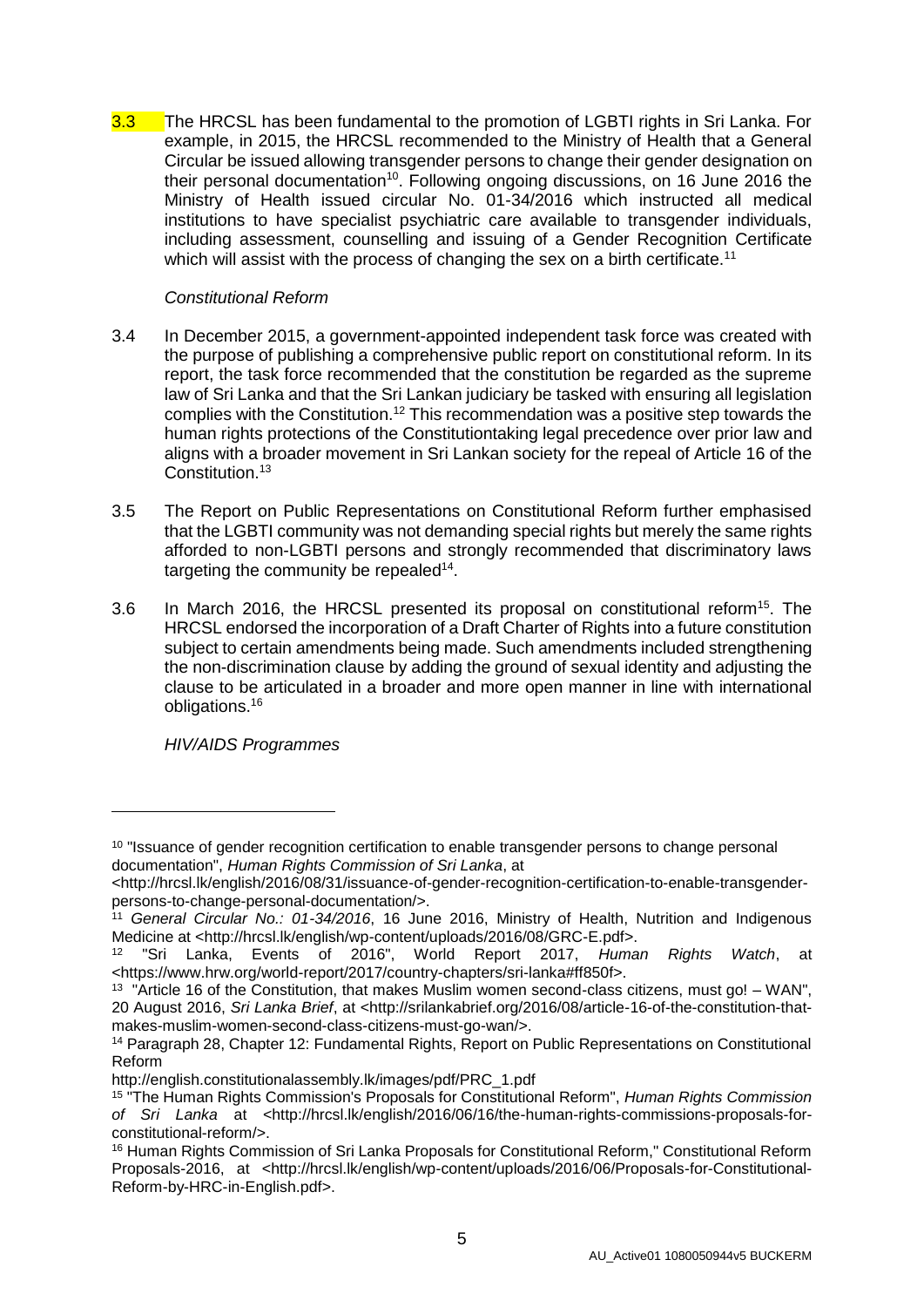3.3 The HRCSL has been fundamental to the promotion of LGBTI rights in Sri Lanka. For example, in 2015, the HRCSL recommended to the Ministry of Health that a General Circular be issued allowing transgender persons to change their gender designation on their personal documentation<sup>10</sup>. Following ongoing discussions, on 16 June 2016 the Ministry of Health issued circular No. 01-34/2016 which instructed all medical institutions to have specialist psychiatric care available to transgender individuals, including assessment, counselling and issuing of a Gender Recognition Certificate which will assist with the process of changing the sex on a birth certificate.<sup>11</sup>

## *Constitutional Reform*

- 3.4 In December 2015, a government-appointed independent task force was created with the purpose of publishing a comprehensive public report on constitutional reform. In its report, the task force recommended that the constitution be regarded as the supreme law of Sri Lanka and that the Sri Lankan judiciary be tasked with ensuring all legislation complies with the Constitution.<sup>12</sup> This recommendation was a positive step towards the human rights protections of the Constitutiontaking legal precedence over prior law and aligns with a broader movement in Sri Lankan society for the repeal of Article 16 of the Constitution.<sup>13</sup>
- 3.5 The Report on Public Representations on Constitutional Reform further emphasised that the LGBTI community was not demanding special rights but merely the same rights afforded to non-LGBTI persons and strongly recommended that discriminatory laws targeting the community be repealed<sup>14</sup>.
- 3.6 In March 2016, the HRCSL presented its proposal on constitutional reform<sup>15</sup>. The HRCSL endorsed the incorporation of a Draft Charter of Rights into a future constitution subject to certain amendments being made. Such amendments included strengthening the non-discrimination clause by adding the ground of sexual identity and adjusting the clause to be articulated in a broader and more open manner in line with international obligations. 16

*HIV/AIDS Programmes*

<sup>&</sup>lt;sup>10</sup> "Issuance of gender recognition certification to enable transgender persons to change personal documentation", *Human Rights Commission of Sri Lanka*, at

<sup>&</sup>lt;http://hrcsl.lk/english/2016/08/31/issuance-of-gender-recognition-certification-to-enable-transgenderpersons-to-change-personal-documentation/>.

<sup>11</sup> *General Circular No.: 01-34/2016*, 16 June 2016, Ministry of Health, Nutrition and Indigenous Medicine at <http://hrcsl.lk/english/wp-content/uploads/2016/08/GRC-E.pdf>.

<sup>12</sup> "Sri Lanka, Events of 2016", World Report 2017, *Human Rights Watch*, at <https://www.hrw.org/world-report/2017/country-chapters/sri-lanka#ff850f>.

<sup>&</sup>lt;sup>13</sup> "Article 16 of the Constitution, that makes Muslim women second-class citizens, must go! – WAN", 20 August 2016, *Sri Lanka Brief*, at <http://srilankabrief.org/2016/08/article-16-of-the-constitution-thatmakes-muslim-women-second-class-citizens-must-go-wan/>.

<sup>14</sup> Paragraph 28, Chapter 12: Fundamental Rights, Report on Public Representations on Constitutional Reform

http://english.constitutionalassembly.lk/images/pdf/PRC\_1.pdf

<sup>15</sup> "The Human Rights Commission's Proposals for Constitutional Reform", *Human Rights Commission of Sri Lanka* at <http://hrcsl.lk/english/2016/06/16/the-human-rights-commissions-proposals-forconstitutional-reform/>.

<sup>16</sup> Human Rights Commission of Sri Lanka Proposals for Constitutional Reform," Constitutional Reform Proposals-2016, at <http://hrcsl.lk/english/wp-content/uploads/2016/06/Proposals-for-Constitutional-Reform-by-HRC-in-English.pdf>.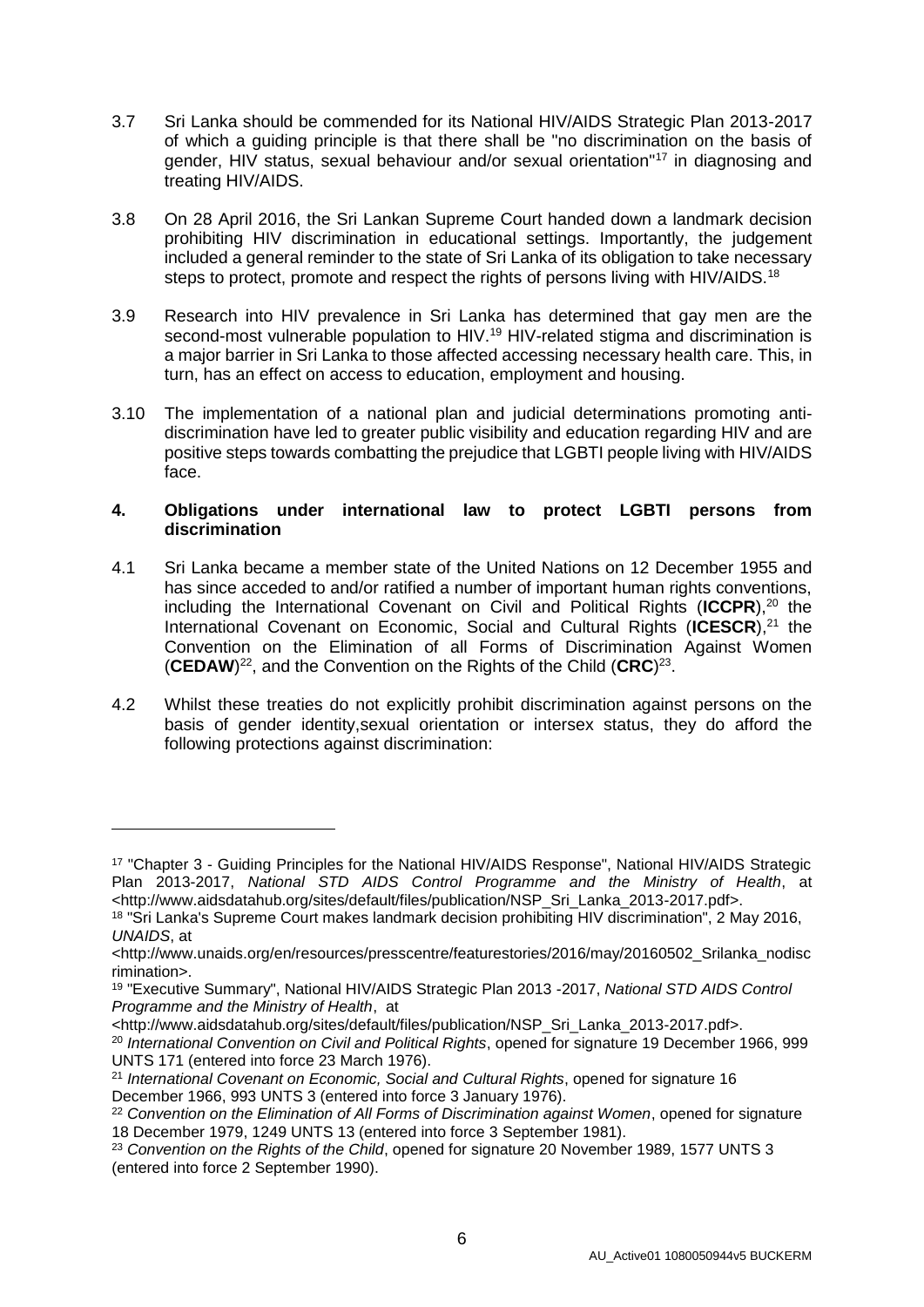- 3.7 Sri Lanka should be commended for its National HIV/AIDS Strategic Plan 2013-2017 of which a guiding principle is that there shall be "no discrimination on the basis of gender, HIV status, sexual behaviour and/or sexual orientation"<sup>17</sup> in diagnosing and treating HIV/AIDS.
- 3.8 On 28 April 2016, the Sri Lankan Supreme Court handed down a landmark decision prohibiting HIV discrimination in educational settings. Importantly, the judgement included a general reminder to the state of Sri Lanka of its obligation to take necessary steps to protect, promote and respect the rights of persons living with HIV/AIDS.<sup>18</sup>
- 3.9 Research into HIV prevalence in Sri Lanka has determined that gay men are the second-most vulnerable population to HIV.<sup>19</sup> HIV-related stigma and discrimination is a major barrier in Sri Lanka to those affected accessing necessary health care. This, in turn, has an effect on access to education, employment and housing.
- 3.10 The implementation of a national plan and judicial determinations promoting antidiscrimination have led to greater public visibility and education regarding HIV and are positive steps towards combatting the prejudice that LGBTI people living with HIV/AIDS face.

## **4. Obligations under international law to protect LGBTI persons from discrimination**

- 4.1 Sri Lanka became a member state of the United Nations on 12 December 1955 and has since acceded to and/or ratified a number of important human rights conventions. including the International Covenant on Civil and Political Rights (ICCPR),<sup>20</sup> the International Covenant on Economic, Social and Cultural Rights (ICESCR),<sup>21</sup> the Convention on the Elimination of all Forms of Discrimination Against Women (CEDAW)<sup>22</sup>, and the Convention on the Rights of the Child (CRC)<sup>23</sup>.
- 4.2 Whilst these treaties do not explicitly prohibit discrimination against persons on the basis of gender identity,sexual orientation or intersex status, they do afford the following protections against discrimination:

<sup>17</sup> "Chapter 3 - Guiding Principles for the National HIV/AIDS Response", National HIV/AIDS Strategic Plan 2013-2017, *National STD AIDS Control Programme and the Ministry of Health*, at <http://www.aidsdatahub.org/sites/default/files/publication/NSP\_Sri\_Lanka\_2013-2017.pdf>.

<sup>&</sup>lt;sup>18</sup> "Sri Lanka's Supreme Court makes landmark decision prohibiting HIV discrimination", 2 May 2016, *UNAIDS*, at

<sup>&</sup>lt;http://www.unaids.org/en/resources/presscentre/featurestories/2016/may/20160502\_Srilanka\_nodisc rimination>.

<sup>19</sup> "Executive Summary", National HIV/AIDS Strategic Plan 2013 -2017, *National STD AIDS Control Programme and the Ministry of Health*, at

<sup>&</sup>lt;http://www.aidsdatahub.org/sites/default/files/publication/NSP\_Sri\_Lanka\_2013-2017.pdf>.

<sup>20</sup> *International Convention on Civil and Political Rights*, opened for signature 19 December 1966, 999 UNTS 171 (entered into force 23 March 1976).

<sup>21</sup> *International Covenant on Economic, Social and Cultural Rights*, opened for signature 16 December 1966, 993 UNTS 3 (entered into force 3 January 1976).

<sup>22</sup> *Convention on the Elimination of All Forms of Discrimination against Women*, opened for signature 18 December 1979, 1249 UNTS 13 (entered into force 3 September 1981).

<sup>&</sup>lt;sup>23</sup> Convention on the Rights of the Child, opened for signature 20 November 1989, 1577 UNTS 3 (entered into force 2 September 1990).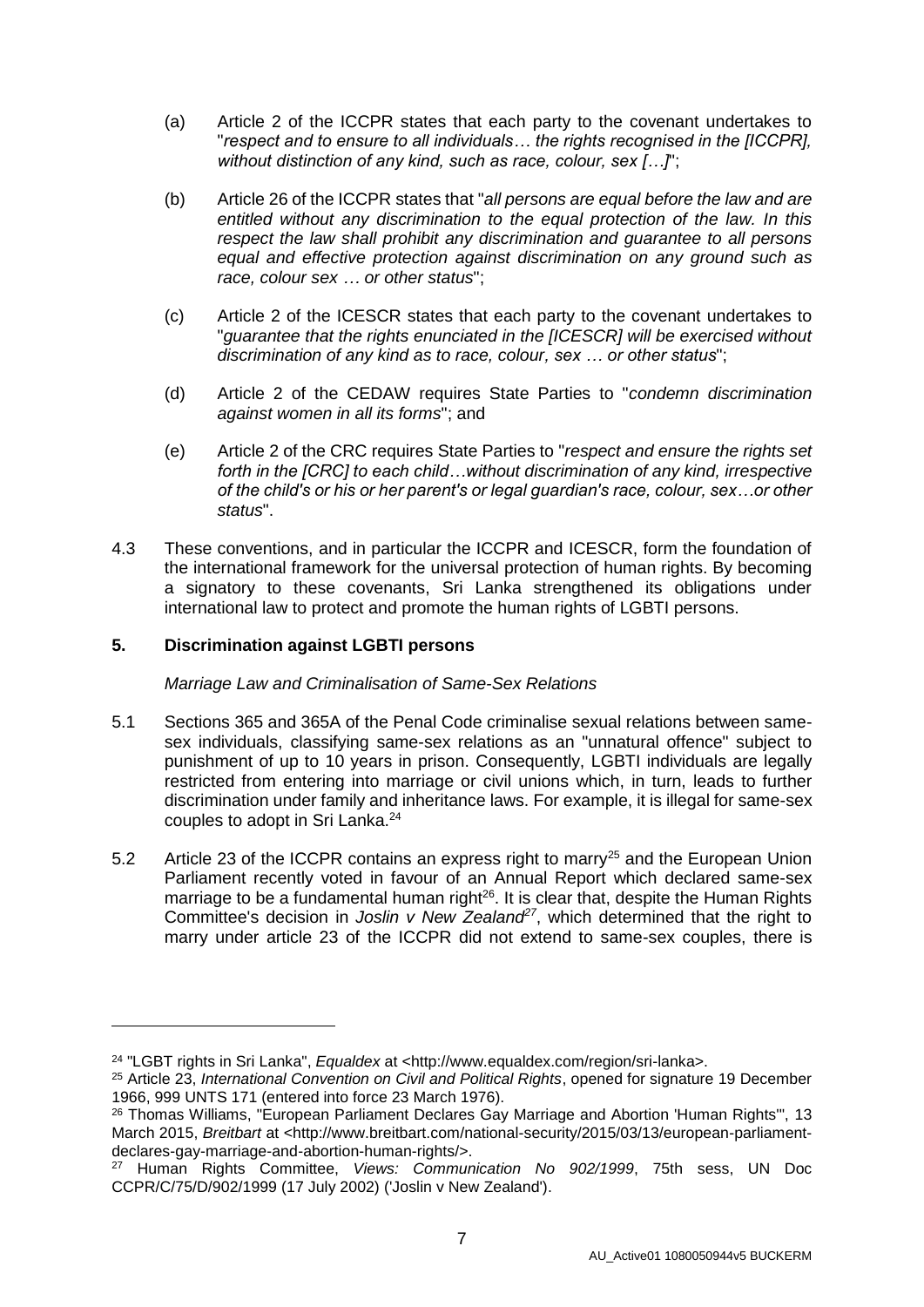- (a) Article 2 of the ICCPR states that each party to the covenant undertakes to "*respect and to ensure to all individuals… the rights recognised in the [ICCPR], without distinction of any kind, such as race, colour, sex […]*";
- (b) Article 26 of the ICCPR states that "*all persons are equal before the law and are entitled without any discrimination to the equal protection of the law. In this respect the law shall prohibit any discrimination and guarantee to all persons equal and effective protection against discrimination on any ground such as race, colour sex … or other status*";
- (c) Article 2 of the ICESCR states that each party to the covenant undertakes to "*guarantee that the rights enunciated in the [ICESCR] will be exercised without discrimination of any kind as to race, colour, sex … or other status*";
- (d) Article 2 of the CEDAW requires State Parties to "*condemn discrimination against women in all its forms*"; and
- (e) Article 2 of the CRC requires State Parties to "*respect and ensure the rights set forth in the [CRC] to each child…without discrimination of any kind, irrespective of the child's or his or her parent's or legal guardian's race, colour, sex…or other status*".
- 4.3 These conventions, and in particular the ICCPR and ICESCR, form the foundation of the international framework for the universal protection of human rights. By becoming a signatory to these covenants, Sri Lanka strengthened its obligations under international law to protect and promote the human rights of LGBTI persons.

## **5. Discrimination against LGBTI persons**

-

*Marriage Law and Criminalisation of Same-Sex Relations*

- 5.1 Sections 365 and 365A of the Penal Code criminalise sexual relations between samesex individuals, classifying same-sex relations as an "unnatural offence" subject to punishment of up to 10 years in prison. Consequently, LGBTI individuals are legally restricted from entering into marriage or civil unions which, in turn, leads to further discrimination under family and inheritance laws. For example, it is illegal for same-sex couples to adopt in Sri Lanka.<sup>24</sup>
- 5.2 Article 23 of the ICCPR contains an express right to marry<sup>25</sup> and the European Union Parliament recently voted in favour of an Annual Report which declared same-sex marriage to be a fundamental human right $26$ . It is clear that, despite the Human Rights Committee's decision in *Joslin v New Zealand<sup>27</sup>*, which determined that the right to marry under article 23 of the ICCPR did not extend to same-sex couples, there is

<sup>24</sup> "LGBT rights in Sri Lanka", *Equaldex* at <http://www.equaldex.com/region/sri-lanka>.

<sup>25</sup> Article 23, *International Convention on Civil and Political Rights*, opened for signature 19 December 1966, 999 UNTS 171 (entered into force 23 March 1976).

<sup>26</sup> Thomas Williams, "European Parliament Declares Gay Marriage and Abortion 'Human Rights'", 13 March 2015, *Breitbart* at <http://www.breitbart.com/national-security/2015/03/13/european-parliamentdeclares-gay-marriage-and-abortion-human-rights/>.

<sup>27</sup> Human Rights Committee, *Views: Communication No 902/1999*, 75th sess, UN Doc CCPR/C/75/D/902/1999 (17 July 2002) ('Joslin v New Zealand').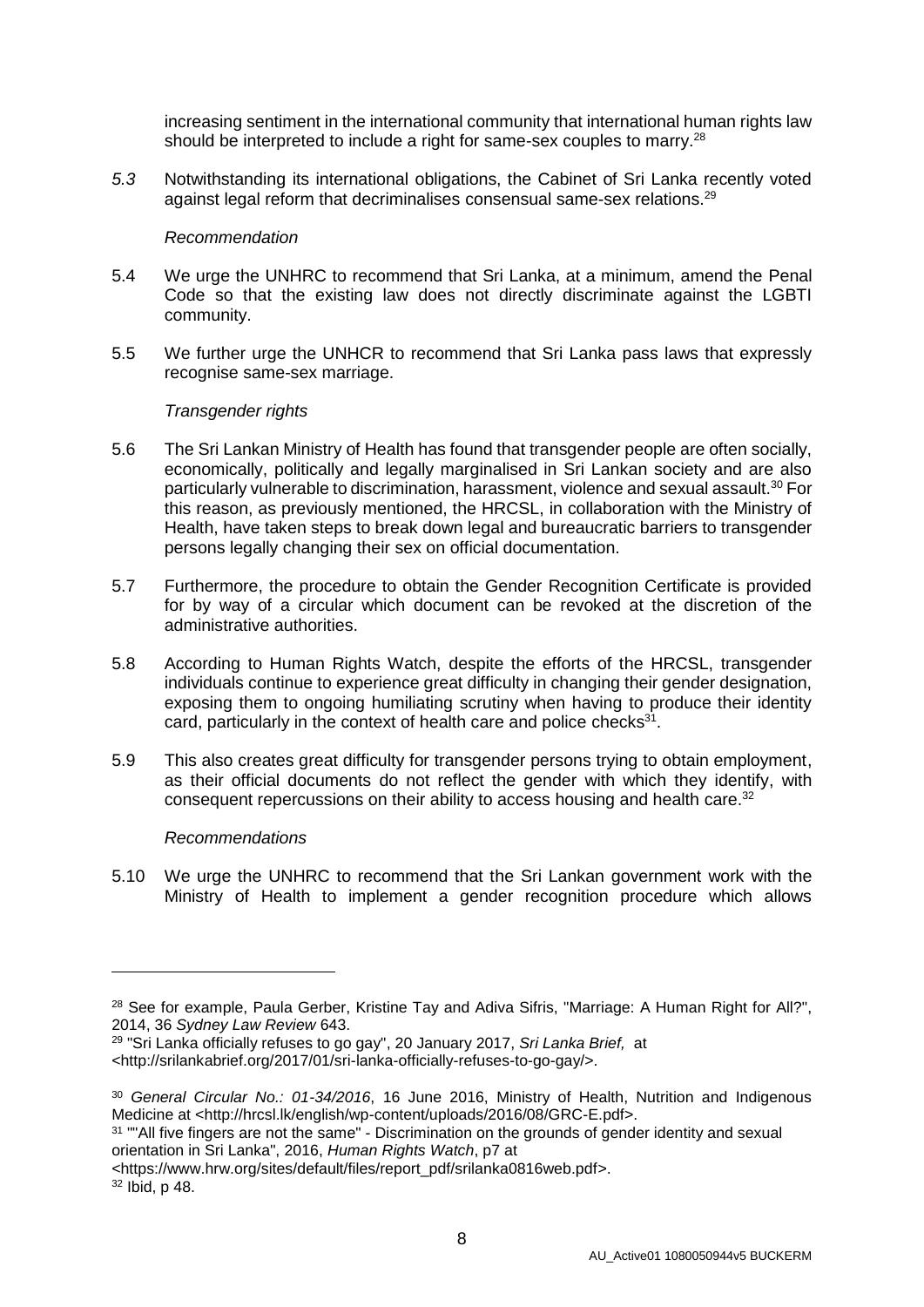increasing sentiment in the international community that international human rights law should be interpreted to include a right for same-sex couples to marry.<sup>28</sup>

*5.3* Notwithstanding its international obligations, the Cabinet of Sri Lanka recently voted against legal reform that decriminalises consensual same-sex relations. 29

#### *Recommendation*

- 5.4 We urge the UNHRC to recommend that Sri Lanka, at a minimum, amend the Penal Code so that the existing law does not directly discriminate against the LGBTI community.
- 5.5 We further urge the UNHCR to recommend that Sri Lanka pass laws that expressly recognise same-sex marriage.

## *Transgender rights*

- 5.6 The Sri Lankan Ministry of Health has found that transgender people are often socially, economically, politically and legally marginalised in Sri Lankan society and are also particularly vulnerable to discrimination, harassment, violence and sexual assault.<sup>30</sup> For this reason, as previously mentioned, the HRCSL, in collaboration with the Ministry of Health, have taken steps to break down legal and bureaucratic barriers to transgender persons legally changing their sex on official documentation.
- 5.7 Furthermore, the procedure to obtain the Gender Recognition Certificate is provided for by way of a circular which document can be revoked at the discretion of the administrative authorities.
- 5.8 According to Human Rights Watch, despite the efforts of the HRCSL, transgender individuals continue to experience great difficulty in changing their gender designation, exposing them to ongoing humiliating scrutiny when having to produce their identity card, particularly in the context of health care and police checks $31$ .
- 5.9 This also creates great difficulty for transgender persons trying to obtain employment, as their official documents do not reflect the gender with which they identify, with consequent repercussions on their ability to access housing and health care. 32

#### *Recommendations*

5.10 We urge the UNHRC to recommend that the Sri Lankan government work with the Ministry of Health to implement a gender recognition procedure which allows

<sup>&</sup>lt;sup>28</sup> See for example, Paula Gerber, Kristine Tay and Adiva Sifris, "Marriage: A Human Right for All?", 2014, 36 *Sydney Law Review* 643.

<sup>29</sup> "Sri Lanka officially refuses to go gay", 20 January 2017, *Sri Lanka Brief,* at

<sup>&</sup>lt;http://srilankabrief.org/2017/01/sri-lanka-officially-refuses-to-go-gay/>.

<sup>30</sup> *General Circular No.: 01-34/2016*, 16 June 2016, Ministry of Health, Nutrition and Indigenous Medicine at <http://hrcsl.lk/english/wp-content/uploads/2016/08/GRC-E.pdf>.

<sup>&</sup>lt;sup>31</sup> ""All five fingers are not the same" - Discrimination on the grounds of gender identity and sexual orientation in Sri Lanka", 2016, *Human Rights Watch*, p7 at

<sup>&</sup>lt;https://www.hrw.org/sites/default/files/report\_pdf/srilanka0816web.pdf>.

<sup>32</sup> Ibid, p 48.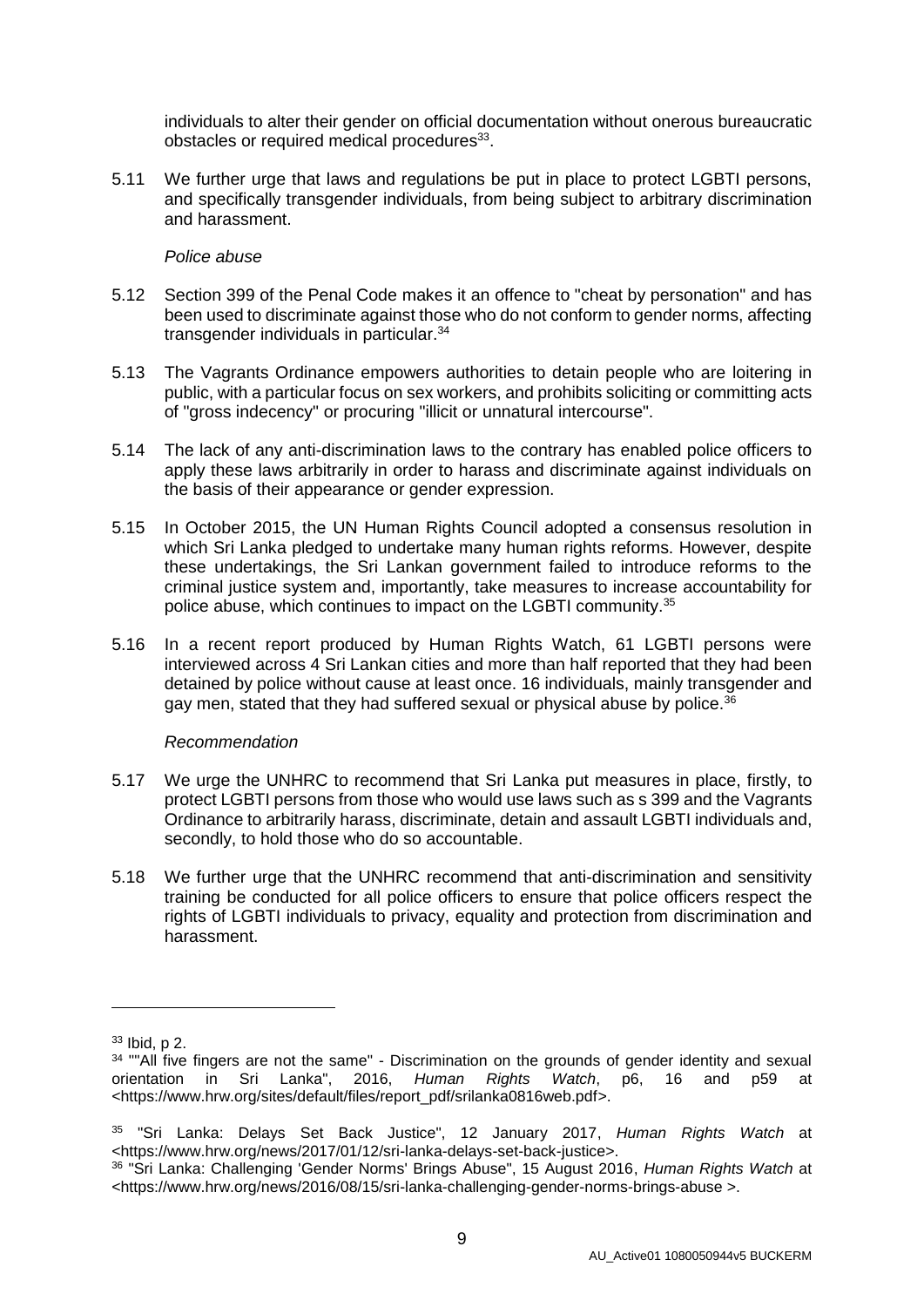individuals to alter their gender on official documentation without onerous bureaucratic obstacles or required medical procedures<sup>33</sup>.

5.11 We further urge that laws and regulations be put in place to protect LGBTI persons, and specifically transgender individuals, from being subject to arbitrary discrimination and harassment.

#### *Police abuse*

- 5.12 Section 399 of the Penal Code makes it an offence to "cheat by personation" and has been used to discriminate against those who do not conform to gender norms, affecting transgender individuals in particular.<sup>34</sup>
- 5.13 The Vagrants Ordinance empowers authorities to detain people who are loitering in public, with a particular focus on sex workers, and prohibits soliciting or committing acts of "gross indecency" or procuring "illicit or unnatural intercourse".
- 5.14 The lack of any anti-discrimination laws to the contrary has enabled police officers to apply these laws arbitrarily in order to harass and discriminate against individuals on the basis of their appearance or gender expression.
- 5.15 In October 2015, the UN Human Rights Council adopted a consensus resolution in which Sri Lanka pledged to undertake many human rights reforms. However, despite these undertakings, the Sri Lankan government failed to introduce reforms to the criminal justice system and, importantly, take measures to increase accountability for police abuse, which continues to impact on the LGBTI community.<sup>35</sup>
- 5.16 In a recent report produced by Human Rights Watch, 61 LGBTI persons were interviewed across 4 Sri Lankan cities and more than half reported that they had been detained by police without cause at least once. 16 individuals, mainly transgender and gay men, stated that they had suffered sexual or physical abuse by police. $36$

#### *Recommendation*

- 5.17 We urge the UNHRC to recommend that Sri Lanka put measures in place, firstly, to protect LGBTI persons from those who would use laws such as s 399 and the Vagrants Ordinance to arbitrarily harass, discriminate, detain and assault LGBTI individuals and, secondly, to hold those who do so accountable.
- 5.18 We further urge that the UNHRC recommend that anti-discrimination and sensitivity training be conducted for all police officers to ensure that police officers respect the rights of LGBTI individuals to privacy, equality and protection from discrimination and harassment.

<sup>33</sup> Ibid, p 2.

<sup>&</sup>lt;sup>34</sup> ""All five fingers are not the same" - Discrimination on the grounds of gender identity and sexual orientation in Sri Lanka", 2016, *Human Rights Watch*, p6, 16 and p59 at <https://www.hrw.org/sites/default/files/report\_pdf/srilanka0816web.pdf>.

<sup>35</sup> "Sri Lanka: Delays Set Back Justice", 12 January 2017, *Human Rights Watch* at <https://www.hrw.org/news/2017/01/12/sri-lanka-delays-set-back-justice>.

<sup>36</sup> "Sri Lanka: Challenging 'Gender Norms' Brings Abuse", 15 August 2016, *Human Rights Watch* at <https://www.hrw.org/news/2016/08/15/sri-lanka-challenging-gender-norms-brings-abuse >.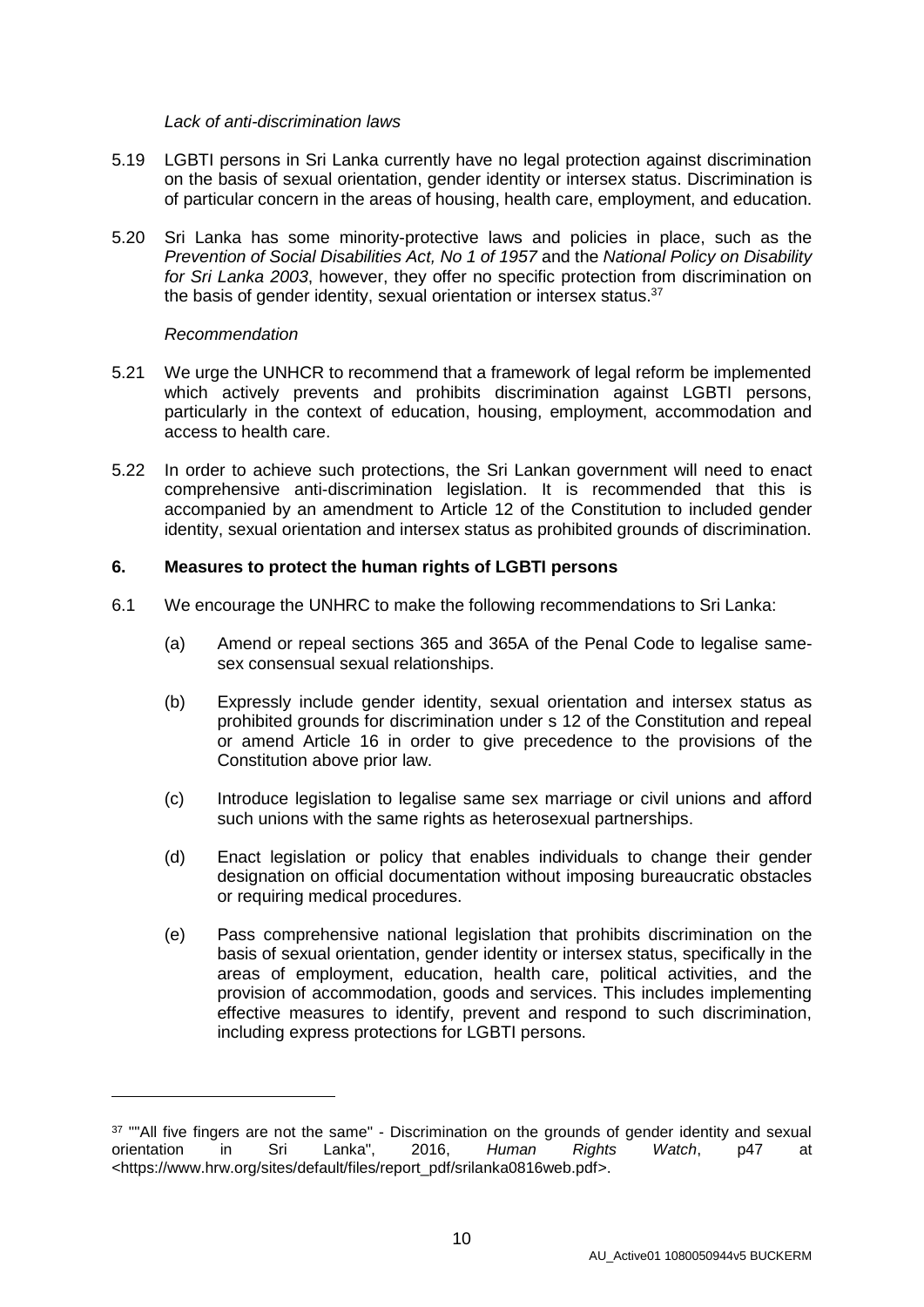#### *Lack of anti-discrimination laws*

- 5.19 LGBTI persons in Sri Lanka currently have no legal protection against discrimination on the basis of sexual orientation, gender identity or intersex status. Discrimination is of particular concern in the areas of housing, health care, employment, and education.
- 5.20 Sri Lanka has some minority-protective laws and policies in place, such as the *Prevention of Social Disabilities Act, No 1 of 1957* and the *National Policy on Disability for Sri Lanka 2003*, however, they offer no specific protection from discrimination on the basis of gender identity, sexual orientation or intersex status.<sup>37</sup>

## *Recommendation*

-

- 5.21 We urge the UNHCR to recommend that a framework of legal reform be implemented which actively prevents and prohibits discrimination against LGBTI persons, particularly in the context of education, housing, employment, accommodation and access to health care.
- 5.22 In order to achieve such protections, the Sri Lankan government will need to enact comprehensive anti-discrimination legislation. It is recommended that this is accompanied by an amendment to Article 12 of the Constitution to included gender identity, sexual orientation and intersex status as prohibited grounds of discrimination.

## **6. Measures to protect the human rights of LGBTI persons**

- 6.1 We encourage the UNHRC to make the following recommendations to Sri Lanka:
	- (a) Amend or repeal sections 365 and 365A of the Penal Code to legalise samesex consensual sexual relationships.
	- (b) Expressly include gender identity, sexual orientation and intersex status as prohibited grounds for discrimination under s 12 of the Constitution and repeal or amend Article 16 in order to give precedence to the provisions of the Constitution above prior law.
	- (c) Introduce legislation to legalise same sex marriage or civil unions and afford such unions with the same rights as heterosexual partnerships.
	- (d) Enact legislation or policy that enables individuals to change their gender designation on official documentation without imposing bureaucratic obstacles or requiring medical procedures.
	- (e) Pass comprehensive national legislation that prohibits discrimination on the basis of sexual orientation, gender identity or intersex status, specifically in the areas of employment, education, health care, political activities, and the provision of accommodation, goods and services. This includes implementing effective measures to identify, prevent and respond to such discrimination, including express protections for LGBTI persons.

<sup>&</sup>lt;sup>37</sup> ""All five fingers are not the same" - Discrimination on the grounds of gender identity and sexual orientation in Sri Lanka", 2016, *Human Rights Watch*, p47 at <https://www.hrw.org/sites/default/files/report\_pdf/srilanka0816web.pdf>.